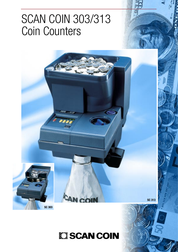# SCAN COIN 303/313 Coin Counters



**EXISCAN COIN** 

**SC 313**